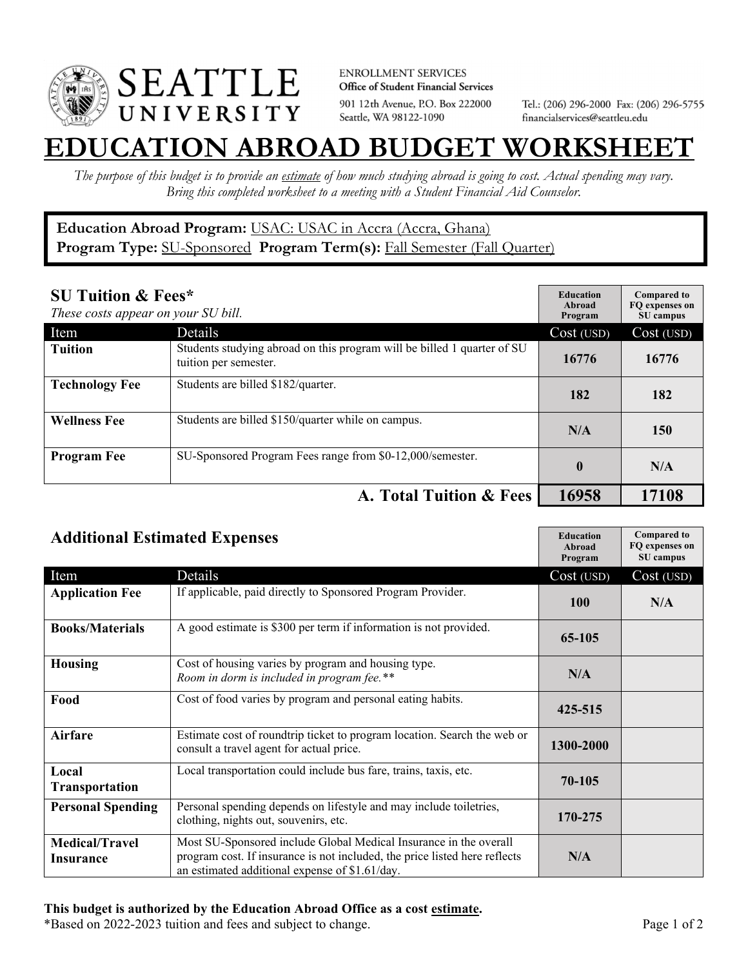

**ENROLLMENT SERVICES** Office of Student Financial Services 901 12th Avenue, P.O. Box 222000 Seattle, WA 98122-1090

Tel.: (206) 296-2000 Fax: (206) 296-5755 financialservices@seattleu.edu

## **EATION ABROAD BUDGET WORKSHEE**

*The purpose of this budget is to provide an estimate of how much studying abroad is going to cost. Actual spending may vary. Bring this completed worksheet to a meeting with a Student Financial Aid Counselor.* 

## **Education Abroad Program:** USAC: USAC in Accra (Accra, Ghana) Program Type: **SU-Sponsored** Program Term(s): **Fall Semester (Fall Quarter)**

| <b>SU Tuition &amp; Fees*</b><br>These costs appear on your SU bill. |                                                                                                  | <b>Education</b><br>Abroad<br>Program | <b>Compared to</b><br>FO expenses on<br>SU campus |
|----------------------------------------------------------------------|--------------------------------------------------------------------------------------------------|---------------------------------------|---------------------------------------------------|
| Item                                                                 | Details                                                                                          | Cost (USD)                            | Cost (USD)                                        |
| <b>Tuition</b>                                                       | Students studying abroad on this program will be billed 1 quarter of SU<br>tuition per semester. | 16776                                 | 16776                                             |
| <b>Technology Fee</b>                                                | Students are billed \$182/quarter.                                                               | 182                                   | 182                                               |
| <b>Wellness Fee</b>                                                  | Students are billed \$150/quarter while on campus.                                               | N/A                                   | 150                                               |
| <b>Program Fee</b>                                                   | SU-Sponsored Program Fees range from \$0-12,000/semester.                                        | $\bf{0}$                              | N/A                                               |
|                                                                      | A. Total Tuition & Fees                                                                          | 16958                                 | 17108                                             |

| <b>Additional Estimated Expenses</b> |                                                                                                                                                                                                   | <b>Education</b><br>Abroad<br>Program | <b>Compared to</b><br>FQ expenses on<br>SU campus |
|--------------------------------------|---------------------------------------------------------------------------------------------------------------------------------------------------------------------------------------------------|---------------------------------------|---------------------------------------------------|
| Item                                 | Details                                                                                                                                                                                           | Cost (USD)                            | Cost (USD)                                        |
| <b>Application Fee</b>               | If applicable, paid directly to Sponsored Program Provider.                                                                                                                                       | <b>100</b>                            | N/A                                               |
| <b>Books/Materials</b>               | A good estimate is \$300 per term if information is not provided.                                                                                                                                 | 65-105                                |                                                   |
| <b>Housing</b>                       | Cost of housing varies by program and housing type.<br>Room in dorm is included in program fee.**                                                                                                 | N/A                                   |                                                   |
| Food                                 | Cost of food varies by program and personal eating habits.                                                                                                                                        | 425-515                               |                                                   |
| Airfare                              | Estimate cost of roundtrip ticket to program location. Search the web or<br>consult a travel agent for actual price.                                                                              | 1300-2000                             |                                                   |
| Local<br><b>Transportation</b>       | Local transportation could include bus fare, trains, taxis, etc.                                                                                                                                  | 70-105                                |                                                   |
| <b>Personal Spending</b>             | Personal spending depends on lifestyle and may include toiletries,<br>clothing, nights out, souvenirs, etc.                                                                                       | 170-275                               |                                                   |
| <b>Medical/Travel</b><br>Insurance   | Most SU-Sponsored include Global Medical Insurance in the overall<br>program cost. If insurance is not included, the price listed here reflects<br>an estimated additional expense of \$1.61/day. | N/A                                   |                                                   |

\*Based on 2022-2023 tuition and fees and subject to change. Page 1 of 2